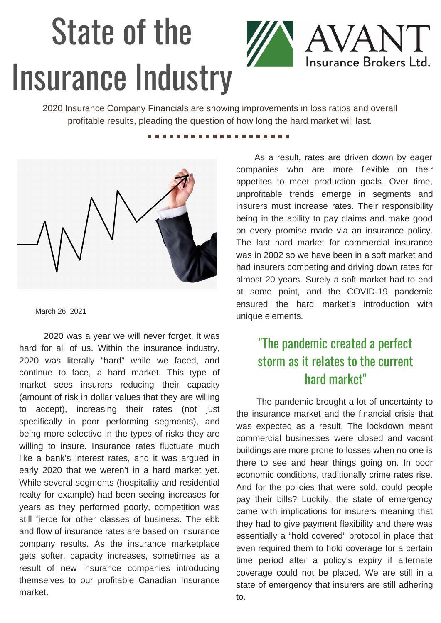## State of the Insurance Industry



2020 Insurance Company Financials are showing improvements in loss ratios and overall profitable results, pleading the question of how long the hard market will last.

## ............



March 26, 2021

2020 was a year we will never forget, it was hard for all of us. Within the insurance industry, 2020 was literally "hard" while we faced, and continue to face, a hard market. This type of market sees insurers reducing their capacity (amount of risk in dollar values that they are willing to accept), increasing their rates (not just specifically in poor performing segments), and being more selective in the types of risks they are willing to insure. Insurance rates fluctuate much like a bank's interest rates, and it was argued in early 2020 that we weren't in a hard market yet. While several segments (hospitality and residential realty for example) had been seeing increases for years as they performed poorly, competition was still fierce for other classes of business. The ebb and flow of insurance rates are based on insurance company results. As the insurance marketplace gets softer, capacity increases, sometimes as a result of new insurance companies introducing themselves to our profitable Canadian Insurance market.

As a result, rates are driven down by eager companies who are more flexible on their appetites to meet production goals. Over time, unprofitable trends emerge in segments and insurers must increase rates. Their responsibility being in the ability to pay claims and make good on every promise made via an insurance policy. The last hard market for commercial insurance was in 2002 so we have been in a soft market and had insurers competing and driving down rates for almost 20 years. Surely a soft market had to end at some point, and the COVID-19 pandemic ensured the hard market's introduction with unique elements.

## "The pandemic created a perfect storm as it relates to the current hard market"

The pandemic brought a lot of uncertainty to the insurance market and the financial crisis that was expected as a result. The lockdown meant commercial businesses were closed and vacant buildings are more prone to losses when no one is there to see and hear things going on. In poor economic conditions, traditionally crime rates rise. And for the policies that were sold, could people pay their bills? Luckily, the state of emergency came with implications for insurers meaning that they had to give payment flexibility and there was essentially a "hold covered" protocol in place that even required them to hold coverage for a certain time period after a policy's expiry if alternate coverage could not be placed. We are still in a state of emergency that insurers are still adhering to.